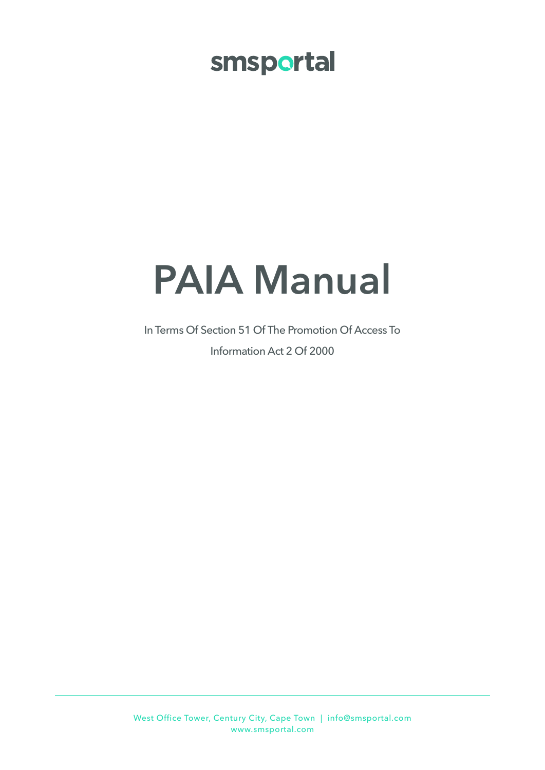## smsportal

# **PAIA Manual**

In Terms Of Section 51 Of The Promotion Of Access To Information Act 2 Of 2000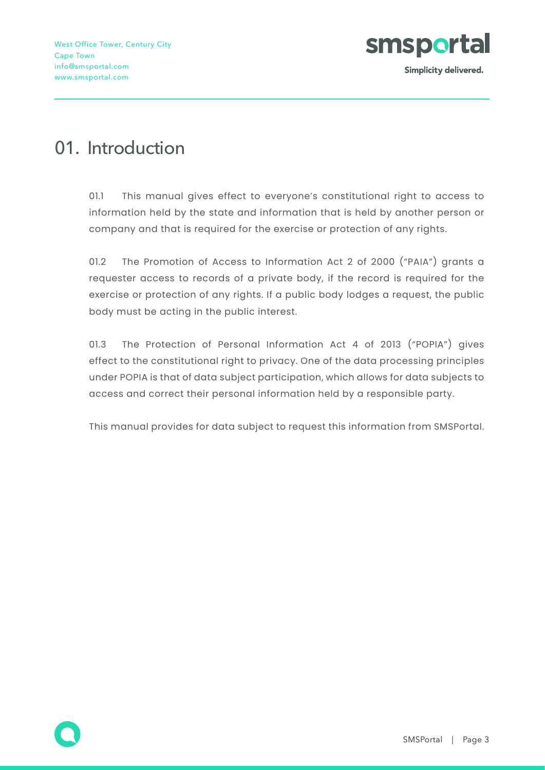

### 01. Introduction

01.1 This manual gives effect to everyone's constitutional right to access to information held by the state and information that is held by another person or company and that is required for the exercise or protection of any rights.

01.2 The Promotion of Access to Information Act 2 of 2000 ("PAIA") grants a requester access to records of a private body, if the record is required for the exercise or protection of any rights. If a public body lodges a request, the public body must be acting in the public interest.

01.3 The Protection of Personal Information Act 4 of 2013 ("POPIA") gives effect to the constitutional right to privacy. One of the data processing principles under POPIA is that of data subject participation, which allows for data subjects to access and correct their personal information held by a responsible party.

This manual provides for data subject to request this information from SMSPortal.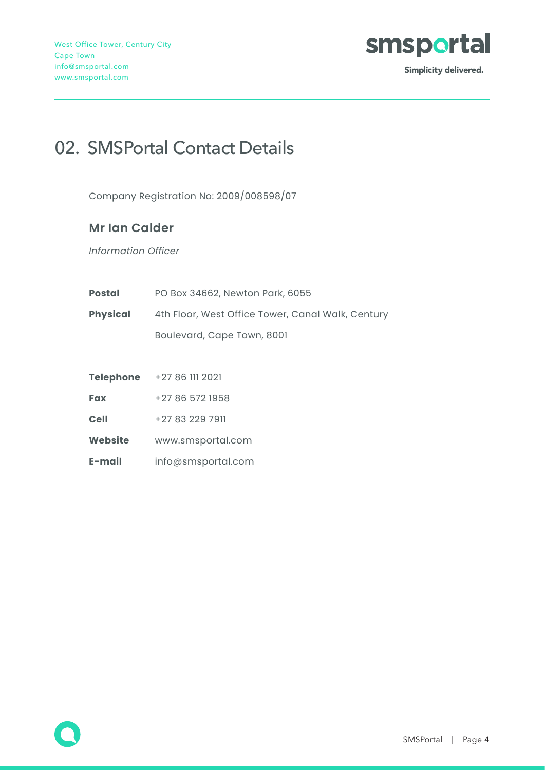

### 02. SMSPortal Contact Details

Company Registration No: 2009/008598/07

#### **Mr Ian Calder**

*Information Officer*

| <b>Postal</b>                                                        | PO Box 34662, Newton Park, 6055 |  |  |
|----------------------------------------------------------------------|---------------------------------|--|--|
| <b>Physical</b><br>4th Floor, West Office Tower, Canal Walk, Century |                                 |  |  |
|                                                                      | Boulevard, Cape Town, 8001      |  |  |
|                                                                      |                                 |  |  |
| <b>Telephone</b>                                                     | +27 86 111 2021                 |  |  |

**Fax** +27 86 572 1958

**Cell** +27 83 229 7911

**Website** www.smsportal.com

**E-mail** info@smsportal.com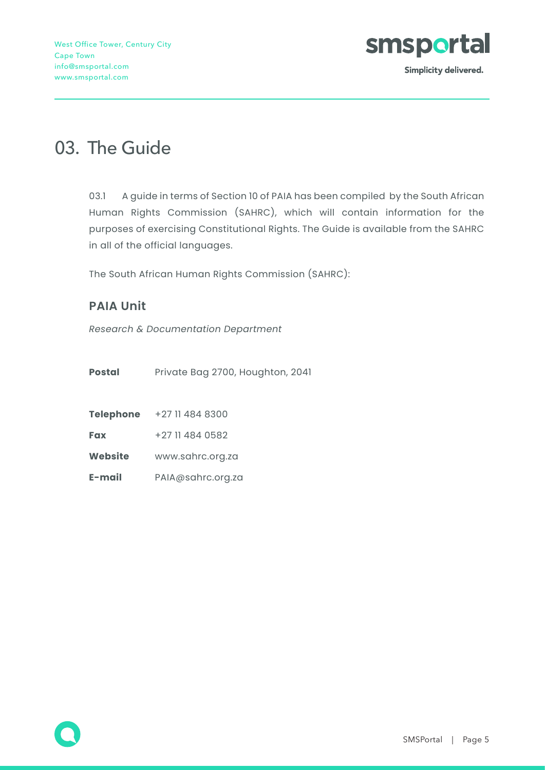

### 03. The Guide

03.1 A guide in terms of Section 10 of PAIA has been compiled by the South African Human Rights Commission (SAHRC), which will contain information for the purposes of exercising Constitutional Rights. The Guide is available from the SAHRC in all of the official languages.

The South African Human Rights Commission (SAHRC):

#### **PAIA Unit**

*Research & Documentation Department*

| Private Bag 2700, Houghton, 2041 |
|----------------------------------|
|                                  |

| <b>Fax</b> | +27 11 484 0582 |  |
|------------|-----------------|--|
|            |                 |  |

**Website** www.sahrc.org.za

**E-mail** PAIA@sahrc.org.za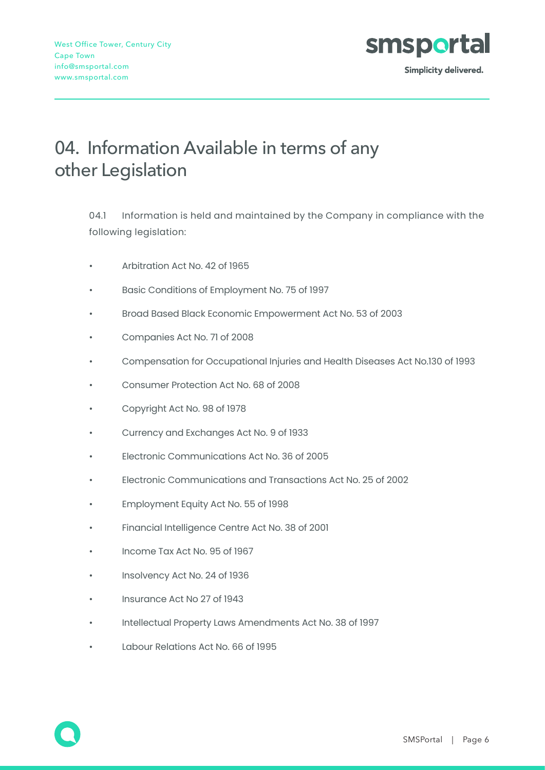

### 04. Information Available in terms of any other Legislation

04.1 Information is held and maintained by the Company in compliance with the following legislation:

- Arbitration Act No. 42 of 1965
- Basic Conditions of Employment No. 75 of 1997
- Broad Based Black Economic Empowerment Act No. 53 of 2003
- Companies Act No. 71 of 2008
- Compensation for Occupational Injuries and Health Diseases Act No.130 of 1993
- Consumer Protection Act No. 68 of 2008
- Copyright Act No. 98 of 1978
- Currency and Exchanges Act No. 9 of 1933
- Electronic Communications Act No. 36 of 2005
- Electronic Communications and Transactions Act No. 25 of 2002
- Employment Equity Act No. 55 of 1998
- Financial Intelligence Centre Act No. 38 of 2001
- Income Tax Act No. 95 of 1967
- Insolvency Act No. 24 of 1936
- Insurance Act No 27 of 1943
- Intellectual Property Laws Amendments Act No. 38 of 1997
- Labour Relations Act No. 66 of 1995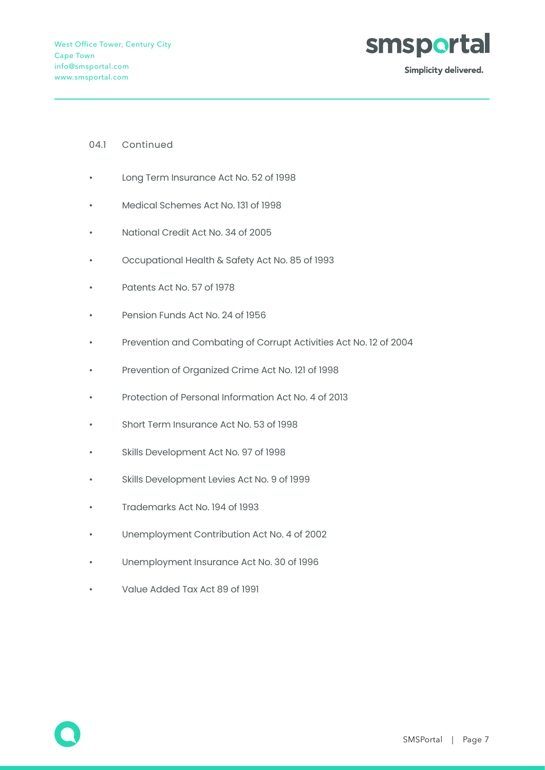

#### 04.1 Continued

- Long Term Insurance Act No. 52 of 1998
- Medical Schemes Act No. 131 of 1998
- National Credit Act No. 34 of 2005
- Occupational Health & Safety Act No. 85 of 1993
- Patents Act No. 57 of 1978
- Pension Funds Act No. 24 of 1956
- Prevention and Combating of Corrupt Activities Act No. 12 of 2004
- Prevention of Organized Crime Act No. 121 of 1998
- Protection of Personal Information Act No. 4 of 2013
- Short Term Insurance Act No. 53 of 1998
- Skills Development Act No. 97 of 1998
- Skills Development Levies Act No. 9 of 1999
- Trademarks Act No. 194 of 1993
- Unemployment Contribution Act No. 4 of 2002
- Unemployment Insurance Act No. 30 of 1996
- Value Added Tax Act 89 of 1991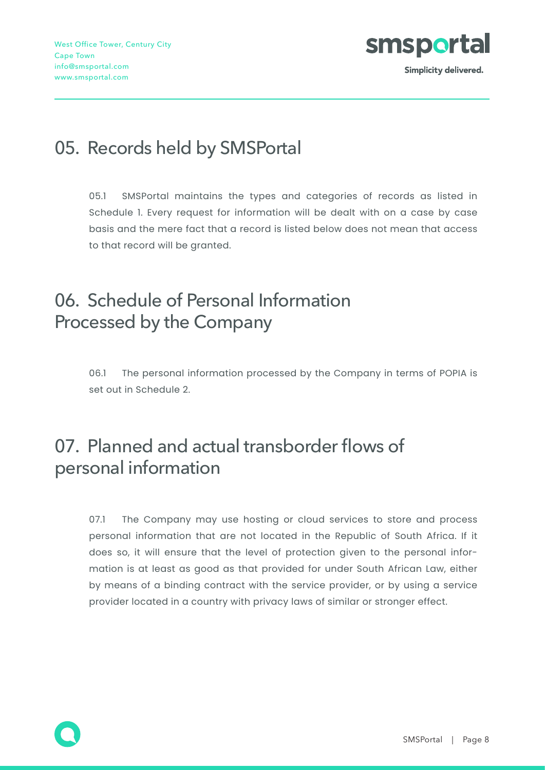

### 05. Records held by SMSPortal

05.1 SMSPortal maintains the types and categories of records as listed in Schedule 1. Every request for information will be dealt with on a case by case basis and the mere fact that a record is listed below does not mean that access to that record will be granted.

### 06. Schedule of Personal Information Processed by the Company

06.1 The personal information processed by the Company in terms of POPIA is set out in Schedule 2.

### 07. Planned and actual transborder flows of personal information

07.1 The Company may use hosting or cloud services to store and process personal information that are not located in the Republic of South Africa. If it does so, it will ensure that the level of protection given to the personal information is at least as good as that provided for under South African Law, either by means of a binding contract with the service provider, or by using a service provider located in a country with privacy laws of similar or stronger effect.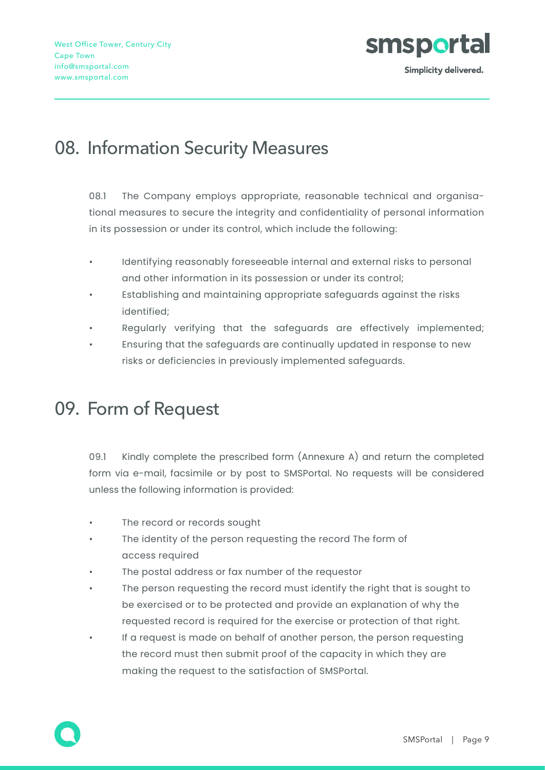

### 08. Information Security Measures

08.1 The Company employs appropriate, reasonable technical and organisational measures to secure the integrity and confidentiality of personal information in its possession or under its control, which include the following:

- Identifying reasonably foreseeable internal and external risks to personal and other information in its possession or under its control;
- Establishing and maintaining appropriate safeguards against the risks identified;
- Regularly verifying that the safeguards are effectively implemented;
- Ensuring that the safeguards are continually updated in response to new risks or deficiencies in previously implemented safeguards.

### 09. Form of Request

09.1 Kindly complete the prescribed form (Annexure A) and return the completed form via e-mail, facsimile or by post to SMSPortal. No requests will be considered unless the following information is provided:

- The record or records sought
- The identity of the person requesting the record The form of access required
- The postal address or fax number of the requestor
- The person requesting the record must identify the right that is sought to be exercised or to be protected and provide an explanation of why the requested record is required for the exercise or protection of that right.
- If a request is made on behalf of another person, the person requesting the record must then submit proof of the capacity in which they are making the request to the satisfaction of SMSPortal.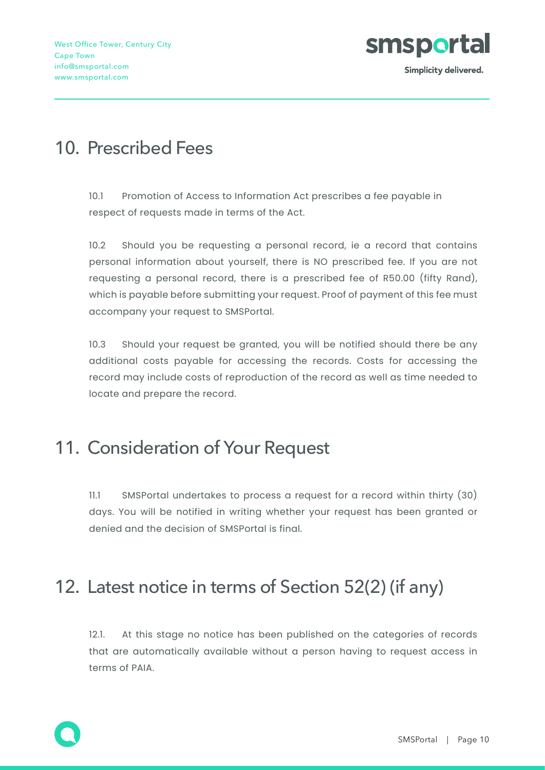

### 10. Prescribed Fees

10.1 Promotion of Access to Information Act prescribes a fee payable in respect of requests made in terms of the Act.

10.2 Should you be requesting a personal record, ie a record that contains personal information about yourself, there is NO prescribed fee. If you are not requesting a personal record, there is a prescribed fee of R50.00 (fifty Rand), which is payable before submitting your request. Proof of payment of this fee must accompany your request to SMSPortal.

10.3 Should your request be granted, you will be notified should there be any additional costs payable for accessing the records. Costs for accessing the record may include costs of reproduction of the record as well as time needed to locate and prepare the record.

#### 11. Consideration of Your Request

11.1 SMSPortal undertakes to process a request for a record within thirty (30) days. You will be notified in writing whether your request has been granted or denied and the decision of SMSPortal is final.

### 12. Latest notice in terms of Section 52(2) (if any)

12.1. At this stage no notice has been published on the categories of records that are automatically available without a person having to request access in terms of PAIA.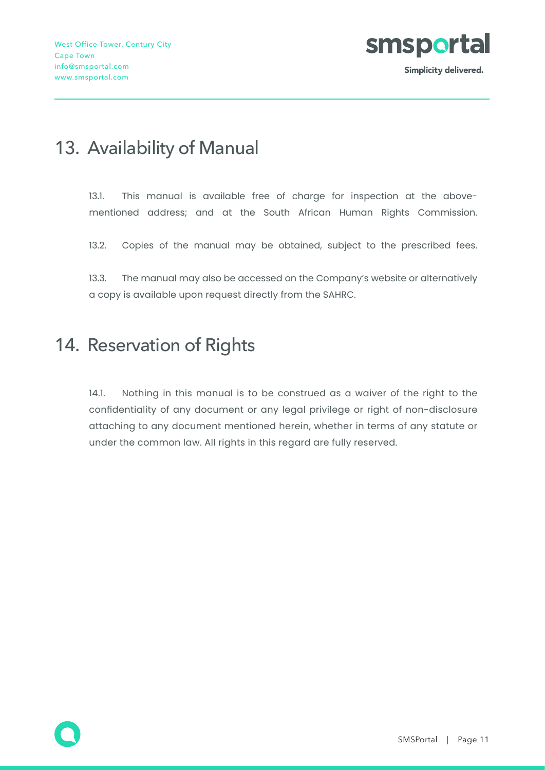

### 13. Availability of Manual

13.1. This manual is available free of charge for inspection at the abovementioned address; and at the South African Human Rights Commission.

13.2. Copies of the manual may be obtained, subject to the prescribed fees.

13.3. The manual may also be accessed on the Company's website or alternatively a copy is available upon request directly from the SAHRC.

#### 14. Reservation of Rights

14.1. Nothing in this manual is to be construed as a waiver of the right to the confidentiality of any document or any legal privilege or right of non-disclosure attaching to any document mentioned herein, whether in terms of any statute or under the common law. All rights in this regard are fully reserved.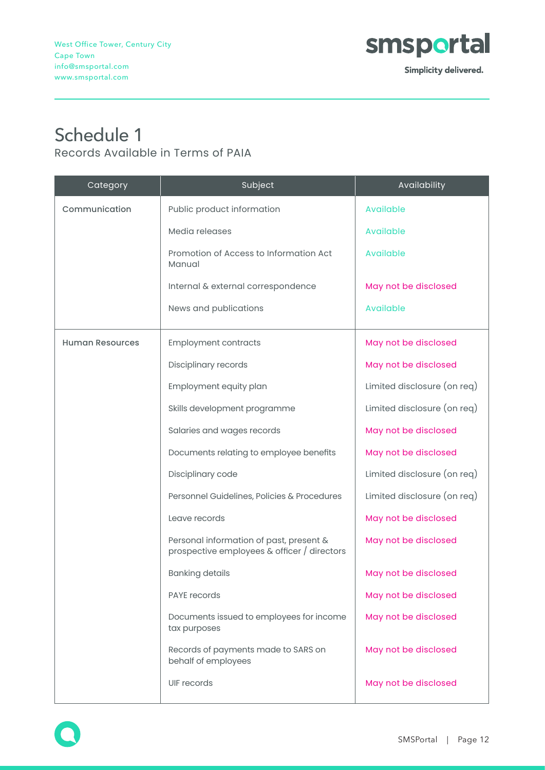

#### Schedule 1 Records Available in Terms of PAIA

| Category               | Subject                                                                                | Availability                |
|------------------------|----------------------------------------------------------------------------------------|-----------------------------|
| Communication          | Public product information                                                             | Available                   |
|                        | Media releases                                                                         | Available                   |
|                        | Promotion of Access to Information Act<br>Manual                                       | Available                   |
|                        | Internal & external correspondence                                                     | May not be disclosed        |
|                        | News and publications                                                                  | Available                   |
| <b>Human Resources</b> | <b>Employment contracts</b>                                                            | May not be disclosed        |
|                        | Disciplinary records                                                                   | May not be disclosed        |
|                        | Employment equity plan                                                                 | Limited disclosure (on req) |
|                        | Skills development programme                                                           | Limited disclosure (on req) |
|                        | Salaries and wages records                                                             | May not be disclosed        |
|                        | Documents relating to employee benefits                                                | May not be disclosed        |
|                        | Disciplinary code                                                                      | Limited disclosure (on req) |
|                        | Personnel Guidelines, Policies & Procedures                                            | Limited disclosure (on req) |
|                        | Leave records                                                                          | May not be disclosed        |
|                        | Personal information of past, present &<br>prospective employees & officer / directors | May not be disclosed        |
|                        | <b>Banking details</b>                                                                 | May not be disclosed        |
|                        | <b>PAYE</b> records                                                                    | May not be disclosed        |
|                        | Documents issued to employees for income<br>tax purposes                               | May not be disclosed        |
|                        | Records of payments made to SARS on<br>behalf of employees                             | May not be disclosed        |
|                        | UIF records                                                                            | May not be disclosed        |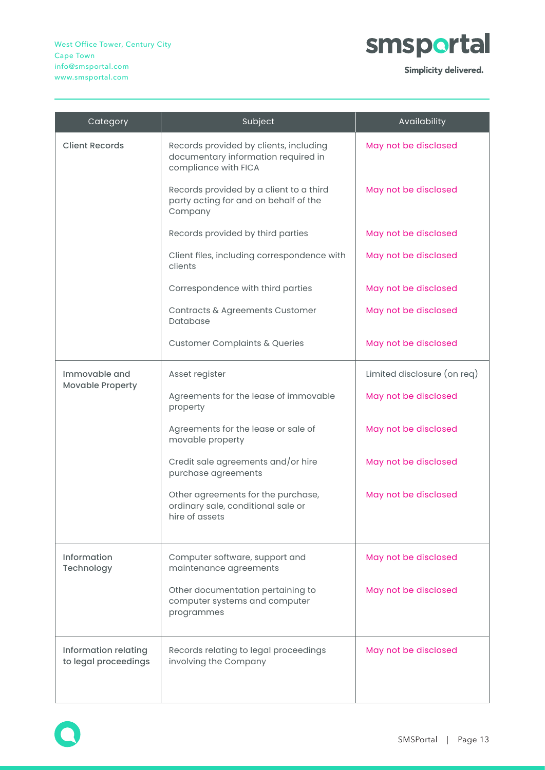

Simplicity delivered.

| Category                                     | Subject                                                                                               | Availability                |
|----------------------------------------------|-------------------------------------------------------------------------------------------------------|-----------------------------|
| <b>Client Records</b>                        | Records provided by clients, including<br>documentary information required in<br>compliance with FICA | May not be disclosed        |
|                                              | Records provided by a client to a third<br>party acting for and on behalf of the<br>Company           | May not be disclosed        |
|                                              | Records provided by third parties                                                                     | May not be disclosed        |
|                                              | Client files, including correspondence with<br>clients                                                | May not be disclosed        |
|                                              | Correspondence with third parties                                                                     | May not be disclosed        |
|                                              | Contracts & Agreements Customer<br>Database                                                           | May not be disclosed        |
|                                              | <b>Customer Complaints &amp; Queries</b>                                                              | May not be disclosed        |
| Immovable and                                | Asset register                                                                                        | Limited disclosure (on req) |
| <b>Movable Property</b>                      | Agreements for the lease of immovable<br>property                                                     | May not be disclosed        |
|                                              | Agreements for the lease or sale of<br>movable property                                               | May not be disclosed        |
|                                              | Credit sale agreements and/or hire<br>purchase agreements                                             | May not be disclosed        |
|                                              | Other agreements for the purchase,<br>ordinary sale, conditional sale or<br>hire of assets            | May not be disclosed        |
| Information<br>Technology                    | Computer software, support and<br>maintenance agreements                                              | May not be disclosed        |
|                                              | Other documentation pertaining to<br>computer systems and computer<br>programmes                      | May not be disclosed        |
| Information relating<br>to legal proceedings | Records relating to legal proceedings<br>involving the Company                                        | May not be disclosed        |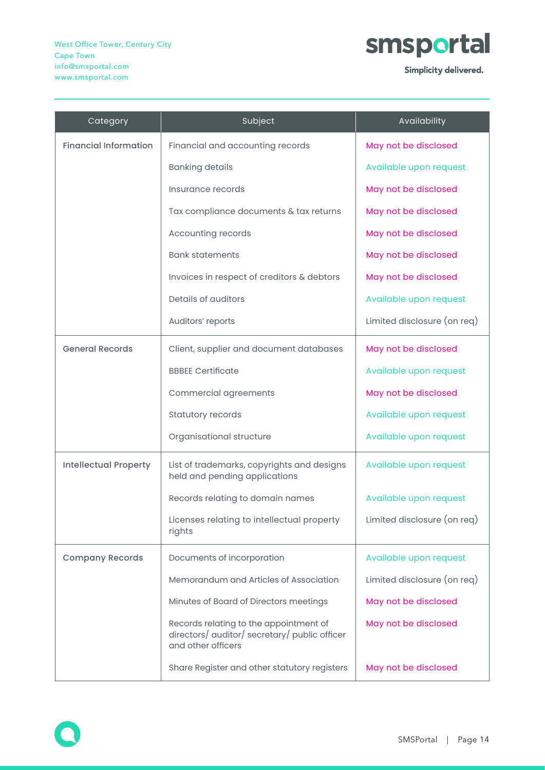

Simplicity delivered.

| Category                     | Subject                                                                                                       | Availability                |
|------------------------------|---------------------------------------------------------------------------------------------------------------|-----------------------------|
| <b>Financial Information</b> | Financial and accounting records                                                                              | May not be disclosed        |
|                              | <b>Banking details</b>                                                                                        | Available upon request      |
|                              | Insurance records                                                                                             | May not be disclosed        |
|                              | Tax compliance documents & tax returns                                                                        | May not be disclosed        |
|                              | Accounting records                                                                                            | May not be disclosed        |
|                              | <b>Bank statements</b>                                                                                        | May not be disclosed        |
|                              | Invoices in respect of creditors & debtors                                                                    | May not be disclosed        |
|                              | Details of auditors                                                                                           | Available upon request      |
|                              | Auditors' reports                                                                                             | Limited disclosure (on req) |
| <b>General Records</b>       | Client, supplier and document databases                                                                       | May not be disclosed        |
|                              | <b>BBBEE Certificate</b>                                                                                      | Available upon request      |
|                              | Commercial agreements                                                                                         | May not be disclosed        |
|                              | Statutory records                                                                                             | Available upon request      |
|                              | Organisational structure                                                                                      | Available upon request      |
| <b>Intellectual Property</b> | List of trademarks, copyrights and designs<br>held and pending applications                                   | Available upon request      |
|                              | Records relating to domain names                                                                              | Available upon request      |
|                              | Licenses relating to intellectual property<br>rights                                                          | Limited disclosure (on req) |
| <b>Company Records</b>       | Documents of incorporation                                                                                    | Available upon request      |
|                              | Memorandum and Articles of Association                                                                        | Limited disclosure (on req) |
|                              | Minutes of Board of Directors meetings                                                                        | May not be disclosed        |
|                              | Records relating to the appointment of<br>directors/ auditor/ secretary/ public officer<br>and other officers | May not be disclosed        |
|                              | Share Register and other statutory registers                                                                  | May not be disclosed        |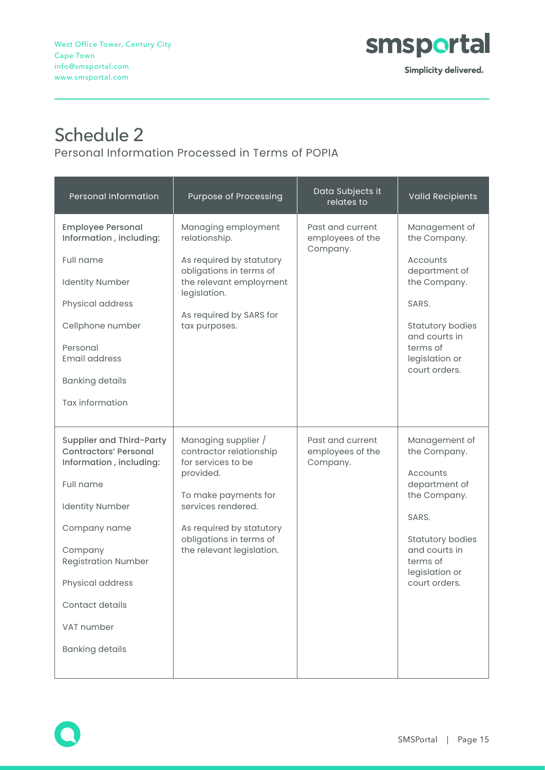

### Schedule 2

Personal Information Processed in Terms of POPIA

| <b>Personal Information</b>                                                                                                                                                                                                                                        | Purpose of Processing                                                                                                                                                                                               | Data Subjects it<br>relates to                   | <b>Valid Recipients</b>                                                                                                                                                        |
|--------------------------------------------------------------------------------------------------------------------------------------------------------------------------------------------------------------------------------------------------------------------|---------------------------------------------------------------------------------------------------------------------------------------------------------------------------------------------------------------------|--------------------------------------------------|--------------------------------------------------------------------------------------------------------------------------------------------------------------------------------|
| <b>Employee Personal</b><br>Information, including:<br>Full name<br><b>Identity Number</b><br>Physical address<br>Cellphone number<br>Personal<br><b>Email address</b><br><b>Banking details</b><br>Tax information                                                | Managing employment<br>relationship.<br>As required by statutory<br>obligations in terms of<br>the relevant employment<br>legislation.<br>As required by SARS for<br>tax purposes.                                  | Past and current<br>employees of the<br>Company. | Management of<br>the Company.<br>Accounts<br>department of<br>the Company.<br>SARS.<br><b>Statutory bodies</b><br>and courts in<br>terms of<br>legislation or<br>court orders. |
| Supplier and Third-Party<br><b>Contractors' Personal</b><br>Information, including:<br>Full name<br><b>Identity Number</b><br>Company name<br>Company<br><b>Registration Number</b><br>Physical address<br>Contact details<br>VAT number<br><b>Banking details</b> | Managing supplier /<br>contractor relationship<br>for services to be<br>provided.<br>To make payments for<br>services rendered.<br>As required by statutory<br>obligations in terms of<br>the relevant legislation. | Past and current<br>employees of the<br>Company. | Management of<br>the Company.<br>Accounts<br>department of<br>the Company.<br>SARS.<br><b>Statutory bodies</b><br>and courts in<br>terms of<br>legislation or<br>court orders. |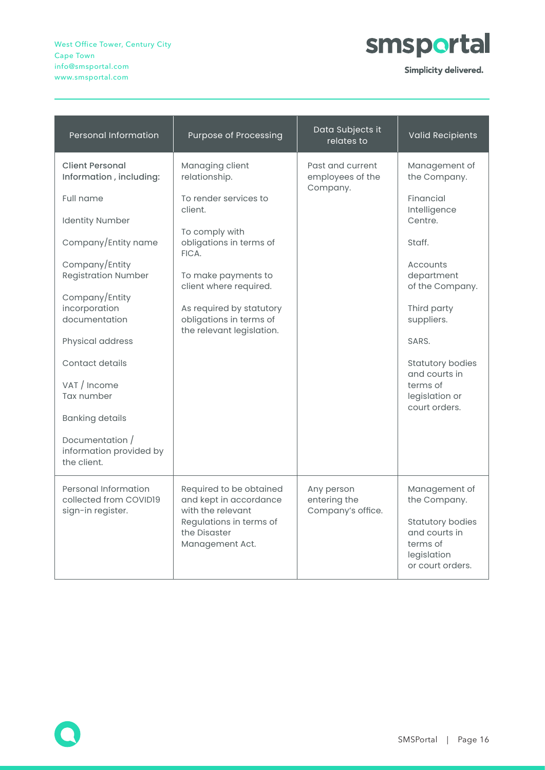West Office Tower, Century City Cape Town info@smsportal.com www.smsportal.com



Simplicity delivered.

| <b>Personal Information</b>                                                                                                                                                                                                             | <b>Purpose of Processing</b>                                                                                                                                                                                                                                   | Data Subjects it<br>relates to                   | <b>Valid Recipients</b>                                                                                                                                            |
|-----------------------------------------------------------------------------------------------------------------------------------------------------------------------------------------------------------------------------------------|----------------------------------------------------------------------------------------------------------------------------------------------------------------------------------------------------------------------------------------------------------------|--------------------------------------------------|--------------------------------------------------------------------------------------------------------------------------------------------------------------------|
| <b>Client Personal</b><br>Information, including:<br>Full name<br><b>Identity Number</b><br>Company/Entity name<br>Company/Entity<br><b>Registration Number</b><br>Company/Entity<br>incorporation<br>documentation<br>Physical address | Managing client<br>relationship.<br>To render services to<br>client<br>To comply with<br>obligations in terms of<br>FICA.<br>To make payments to<br>client where required.<br>As required by statutory<br>obligations in terms of<br>the relevant legislation. | Past and current<br>employees of the<br>Company. | Management of<br>the Company.<br>Financial<br>Intelligence<br>Centre.<br>Staff.<br>Accounts<br>department<br>of the Company.<br>Third party<br>suppliers.<br>SARS. |
| Contact details<br>VAT / Income<br>Tax number<br><b>Banking details</b><br>Documentation /<br>information provided by<br>the client.                                                                                                    |                                                                                                                                                                                                                                                                |                                                  | <b>Statutory bodies</b><br>and courts in<br>terms of<br>legislation or<br>court orders.                                                                            |
| Personal Information<br>collected from COVID19<br>sign-in register.                                                                                                                                                                     | Required to be obtained<br>and kept in accordance<br>with the relevant<br>Regulations in terms of<br>the Disaster<br>Management Act.                                                                                                                           | Any person<br>entering the<br>Company's office.  | Management of<br>the Company.<br><b>Statutory bodies</b><br>and courts in<br>terms of<br>legislation<br>or court orders.                                           |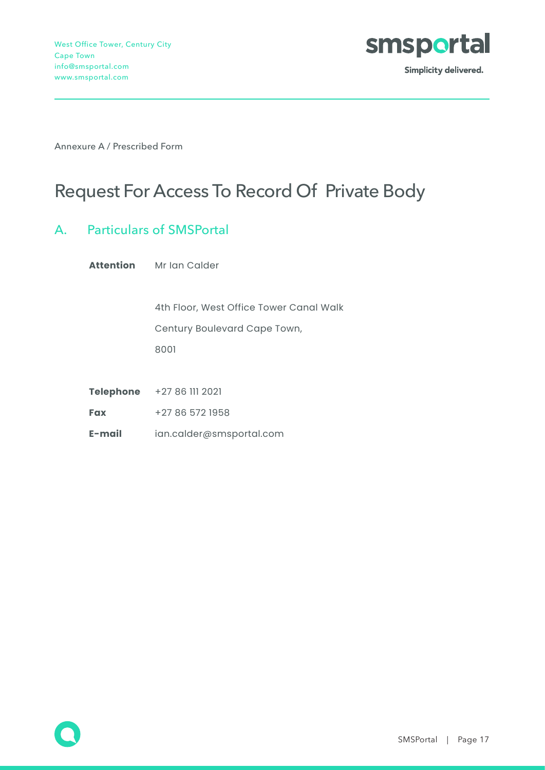

Annexure A / Prescribed Form

### Request For Access To Record Of Private Body

#### A. Particulars of SMSPortal

**Attention** Mr Ian Calder

 4th Floor, West Office Tower Canal Walk Century Boulevard Cape Town, 8001

**Telephone** +27 86 111 2021

**Fax** +27 86 572 1958

**E-mail** ian.calder@smsportal.com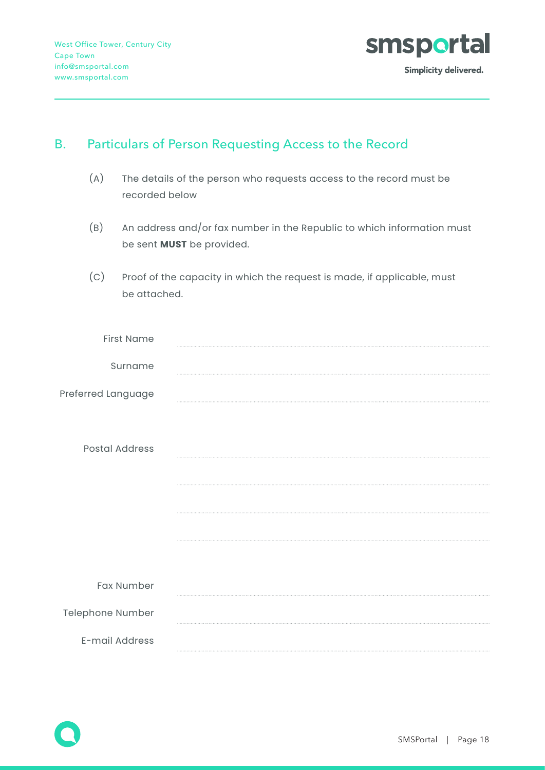

#### B. Particulars of Person Requesting Access to the Record

- (A) The details of the person who requests access to the record must be recorded below
- (B) An address and/or fax number in the Republic to which information must be sent **MUST** be provided.
- (C) Proof of the capacity in which the request is made, if applicable, must be attached.

| <b>First Name</b>     |  |
|-----------------------|--|
| Surname               |  |
| Preferred Language    |  |
| <b>Postal Address</b> |  |
| Fax Number            |  |
| Telephone Number      |  |
| E-mail Address        |  |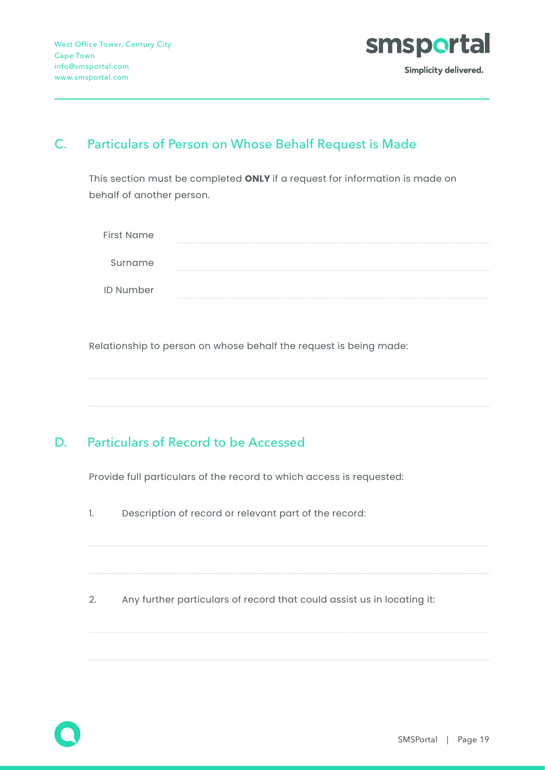

#### C. Particulars of Person on Whose Behalf Request is Made

This section must be completed **ONLY** if a request for information is made on behalf of another person.

| First Name       |  |
|------------------|--|
| Surname          |  |
| <b>ID Number</b> |  |

Relationship to person on whose behalf the request is being made:

#### D. Particulars of Record to be Accessed

Provide full particulars of the record to which access is requested:

- 1. Description of record or relevant part of the record:
- 2. Any further particulars of record that could assist us in locating it: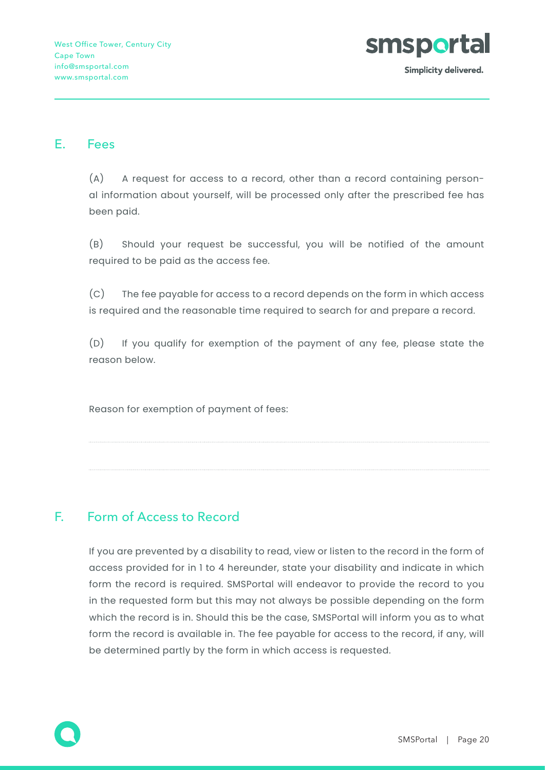

#### E. Fees

(A) A request for access to a record, other than a record containing personal information about yourself, will be processed only after the prescribed fee has been paid.

(B) Should your request be successful, you will be notified of the amount required to be paid as the access fee.

(C) The fee payable for access to a record depends on the form in which access is required and the reasonable time required to search for and prepare a record.

(D) If you qualify for exemption of the payment of any fee, please state the reason below.

Reason for exemption of payment of fees:

#### F. Form of Access to Record

If you are prevented by a disability to read, view or listen to the record in the form of access provided for in 1 to 4 hereunder, state your disability and indicate in which form the record is required. SMSPortal will endeavor to provide the record to you in the requested form but this may not always be possible depending on the form which the record is in. Should this be the case, SMSPortal will inform you as to what form the record is available in. The fee payable for access to the record, if any, will be determined partly by the form in which access is requested.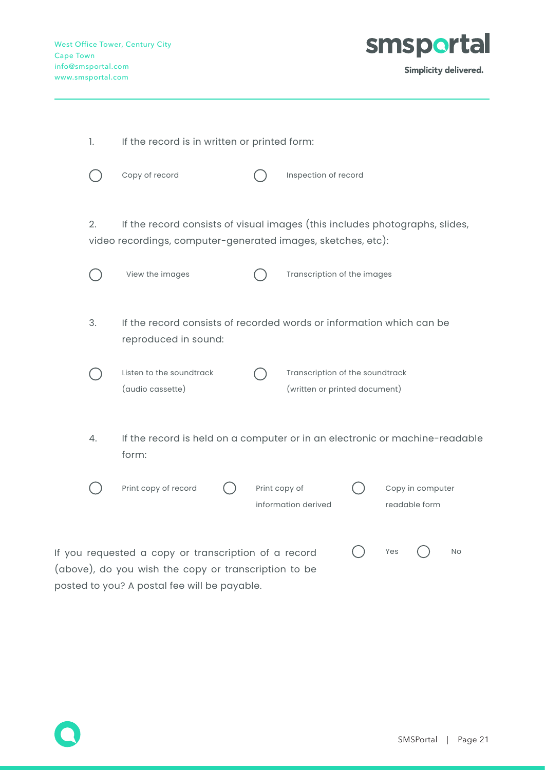

| 1. | If the record is in written or printed form:                                                                                                |               |                                                                  |  |     |                                   |    |
|----|---------------------------------------------------------------------------------------------------------------------------------------------|---------------|------------------------------------------------------------------|--|-----|-----------------------------------|----|
|    | Copy of record                                                                                                                              |               | Inspection of record                                             |  |     |                                   |    |
| 2. | If the record consists of visual images (this includes photographs, slides,<br>video recordings, computer-generated images, sketches, etc): |               |                                                                  |  |     |                                   |    |
|    | View the images                                                                                                                             |               | Transcription of the images                                      |  |     |                                   |    |
| 3. | If the record consists of recorded words or information which can be<br>reproduced in sound:                                                |               |                                                                  |  |     |                                   |    |
|    | Listen to the soundtrack<br>(audio cassette)                                                                                                |               | Transcription of the soundtrack<br>(written or printed document) |  |     |                                   |    |
| 4. | If the record is held on a computer or in an electronic or machine-readable<br>form:                                                        |               |                                                                  |  |     |                                   |    |
|    | Print copy of record                                                                                                                        | Print copy of | information derived                                              |  |     | Copy in computer<br>readable form |    |
|    | If you requested a copy or transcription of a record                                                                                        |               |                                                                  |  | Yes |                                   | No |

(above), do you wish the copy or transcription to be posted to you? A postal fee will be payable.